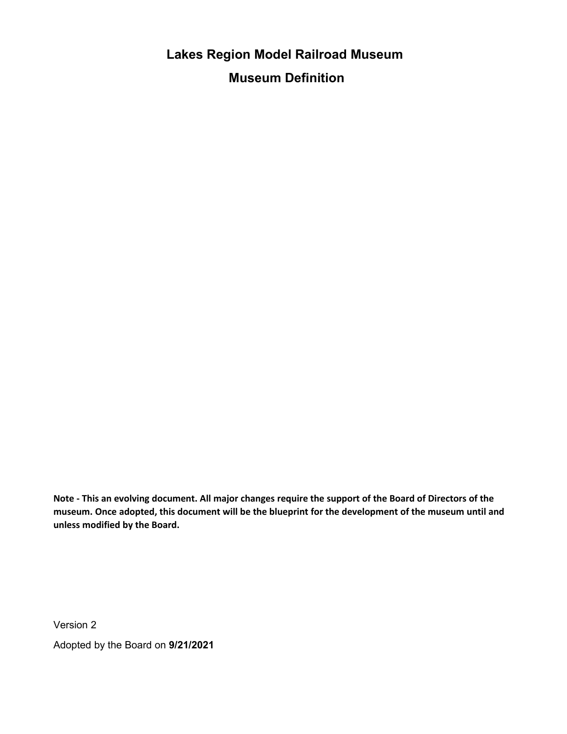**Lakes Region Model Railroad Museum Museum Definition**

**Note - This an evolving document. All major changes require the support of the Board of Directors of the museum. Once adopted, this document will be the blueprint for the development of the museum until and unless modified by the Board.**

Version 2

Adopted by the Board on **9/21/2021**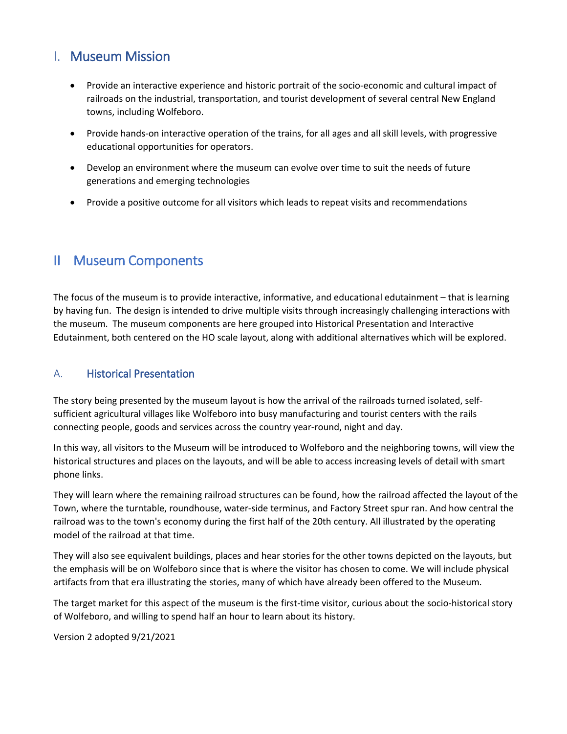## I. Museum Mission

- Provide an interactive experience and historic portrait of the socio-economic and cultural impact of railroads on the industrial, transportation, and tourist development of several central New England towns, including Wolfeboro.
- Provide hands-on interactive operation of the trains, for all ages and all skill levels, with progressive educational opportunities for operators.
- Develop an environment where the museum can evolve over time to suit the needs of future generations and emerging technologies
- Provide a positive outcome for all visitors which leads to repeat visits and recommendations

# II Museum Components

The focus of the museum is to provide interactive, informative, and educational edutainment – that is learning by having fun. The design is intended to drive multiple visits through increasingly challenging interactions with the museum. The museum components are here grouped into Historical Presentation and Interactive Edutainment, both centered on the HO scale layout, along with additional alternatives which will be explored.

#### A. Historical Presentation

The story being presented by the museum layout is how the arrival of the railroads turned isolated, selfsufficient agricultural villages like Wolfeboro into busy manufacturing and tourist centers with the rails connecting people, goods and services across the country year-round, night and day.

In this way, all visitors to the Museum will be introduced to Wolfeboro and the neighboring towns, will view the historical structures and places on the layouts, and will be able to access increasing levels of detail with smart phone links.

They will learn where the remaining railroad structures can be found, how the railroad affected the layout of the Town, where the turntable, roundhouse, water-side terminus, and Factory Street spur ran. And how central the railroad was to the town's economy during the first half of the 20th century. All illustrated by the operating model of the railroad at that time.

They will also see equivalent buildings, places and hear stories for the other towns depicted on the layouts, but the emphasis will be on Wolfeboro since that is where the visitor has chosen to come. We will include physical artifacts from that era illustrating the stories, many of which have already been offered to the Museum.

The target market for this aspect of the museum is the first-time visitor, curious about the socio-historical story of Wolfeboro, and willing to spend half an hour to learn about its history.

Version 2 adopted 9/21/2021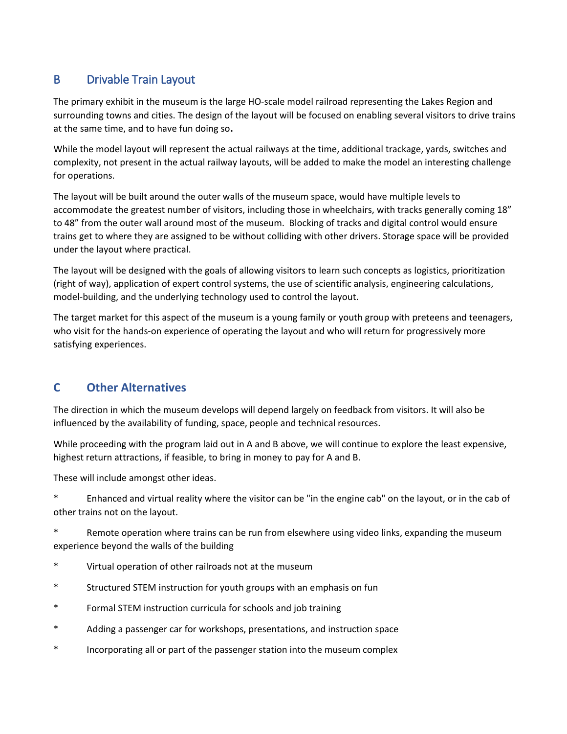### B Drivable Train Layout

The primary exhibit in the museum is the large HO-scale model railroad representing the Lakes Region and surrounding towns and cities. The design of the layout will be focused on enabling several visitors to drive trains at the same time, and to have fun doing so**.** 

While the model layout will represent the actual railways at the time, additional trackage, yards, switches and complexity, not present in the actual railway layouts, will be added to make the model an interesting challenge for operations.

The layout will be built around the outer walls of the museum space, would have multiple levels to accommodate the greatest number of visitors, including those in wheelchairs, with tracks generally coming 18" to 48" from the outer wall around most of the museum. Blocking of tracks and digital control would ensure trains get to where they are assigned to be without colliding with other drivers. Storage space will be provided under the layout where practical.

The layout will be designed with the goals of allowing visitors to learn such concepts as logistics, prioritization (right of way), application of expert control systems, the use of scientific analysis, engineering calculations, model-building, and the underlying technology used to control the layout.

The target market for this aspect of the museum is a young family or youth group with preteens and teenagers, who visit for the hands-on experience of operating the layout and who will return for progressively more satisfying experiences.

### **C Other Alternatives**

The direction in which the museum develops will depend largely on feedback from visitors. It will also be influenced by the availability of funding, space, people and technical resources.

While proceeding with the program laid out in A and B above, we will continue to explore the least expensive, highest return attractions, if feasible, to bring in money to pay for A and B.

These will include amongst other ideas.

\* Enhanced and virtual reality where the visitor can be "in the engine cab" on the layout, or in the cab of other trains not on the layout.

\* Remote operation where trains can be run from elsewhere using video links, expanding the museum experience beyond the walls of the building

- \* Virtual operation of other railroads not at the museum
- \* Structured STEM instruction for youth groups with an emphasis on fun
- \* Formal STEM instruction curricula for schools and job training
- \* Adding a passenger car for workshops, presentations, and instruction space
- \* Incorporating all or part of the passenger station into the museum complex